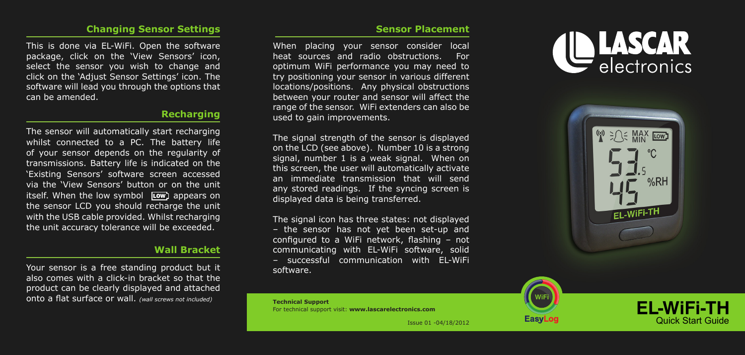#### **Changing Sensor Settings**

This is done via EL-WiFi. Open the software package, click on the 'View Sensors' icon, select the sensor you wish to change and click on the 'Adjust Sensor Settings' icon. The software will lead you through the options that can be amended.

## **Recharging**

The sensor will automatically start recharging whilst connected to a PC. The battery life of your sensor depends on the regularity of transmissions. Battery life is indicated on the 'Existing Sensors' software screen accessed via the 'View Sensors' button or on the unit itself. When the low symbol Low appears on the sensor LCD you should recharge the unit with the USB cable provided. Whilst recharging the unit accuracy tolerance will be exceeded.

## **Wall Bracket**

Your sensor is a free standing product but it also comes with a click-in bracket so that the product can be clearly displayed and attached onto a flat surface or wall. *(wall screws not included)*

#### **Sensor Placement**

When placing your sensor consider local heat sources and radio obstructions. For optimum WiFi performance you may need to try positioning your sensor in various different locations/positions. Any physical obstructions between your router and sensor will affect the range of the sensor. WiFi extenders can also be used to gain improvements.

The signal strength of the sensor is displayed on the LCD (see above). Number 10 is a strong signal, number 1 is a weak signal. When on this screen, the user will automatically activate an immediate transmission that will send any stored readings. If the syncing screen is displayed data is being transferred.

The signal icon has three states: not displayed – the sensor has not yet been set-up and configured to a WiFi network, flashing – not communicating with EL-WiFi software, solid – successful communication with EL-WiFi software.





**LASCAR** electronics



**EL-WiFi-TH** Quick Start Guide

Issue 01 -04/18/2012